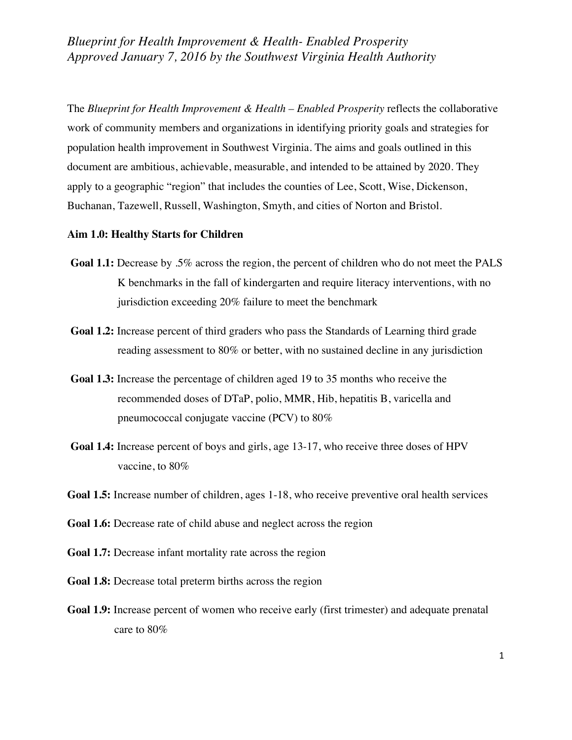The *Blueprint for Health Improvement & Health – Enabled Prosperity* reflects the collaborative work of community members and organizations in identifying priority goals and strategies for population health improvement in Southwest Virginia. The aims and goals outlined in this document are ambitious, achievable, measurable, and intended to be attained by 2020. They apply to a geographic "region" that includes the counties of Lee, Scott, Wise, Dickenson, Buchanan, Tazewell, Russell, Washington, Smyth, and cities of Norton and Bristol.

### **Aim 1.0: Healthy Starts for Children**

- **Goal 1.1:** Decrease by .5% across the region, the percent of children who do not meet the PALS K benchmarks in the fall of kindergarten and require literacy interventions, with no jurisdiction exceeding 20% failure to meet the benchmark
- **Goal 1.2:** Increase percent of third graders who pass the Standards of Learning third grade reading assessment to 80% or better, with no sustained decline in any jurisdiction
- **Goal 1.3:** Increase the percentage of children aged 19 to 35 months who receive the recommended doses of DTaP, polio, MMR, Hib, hepatitis B, varicella and pneumococcal conjugate vaccine (PCV) to 80%
- **Goal 1.4:** Increase percent of boys and girls, age 13-17, who receive three doses of HPV vaccine, to 80%
- **Goal 1.5:** Increase number of children, ages 1-18, who receive preventive oral health services
- **Goal 1.6:** Decrease rate of child abuse and neglect across the region
- **Goal 1.7:** Decrease infant mortality rate across the region
- **Goal 1.8:** Decrease total preterm births across the region
- **Goal 1.9:** Increase percent of women who receive early (first trimester) and adequate prenatal care to 80%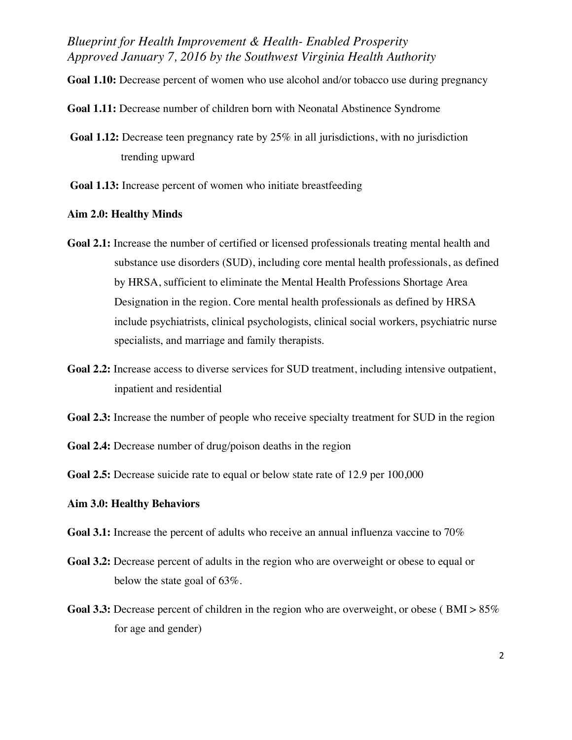**Goal 1.10:** Decrease percent of women who use alcohol and/or tobacco use during pregnancy

- **Goal 1.11:** Decrease number of children born with Neonatal Abstinence Syndrome
- **Goal 1.12:** Decrease teen pregnancy rate by 25% in all jurisdictions, with no jurisdiction trending upward
- **Goal 1.13:** Increase percent of women who initiate breastfeeding

#### **Aim 2.0: Healthy Minds**

- **Goal 2.1:** Increase the number of certified or licensed professionals treating mental health and substance use disorders (SUD), including core mental health professionals, as defined by HRSA, sufficient to eliminate the Mental Health Professions Shortage Area Designation in the region. Core mental health professionals as defined by HRSA include psychiatrists, clinical psychologists, clinical social workers, psychiatric nurse specialists, and marriage and family therapists.
- **Goal 2.2:** Increase access to diverse services for SUD treatment, including intensive outpatient, inpatient and residential
- **Goal 2.3:** Increase the number of people who receive specialty treatment for SUD in the region
- **Goal 2.4:** Decrease number of drug/poison deaths in the region
- **Goal 2.5:** Decrease suicide rate to equal or below state rate of 12.9 per 100,000

# **Aim 3.0: Healthy Behaviors**

- **Goal 3.1:** Increase the percent of adults who receive an annual influenza vaccine to 70%
- **Goal 3.2:** Decrease percent of adults in the region who are overweight or obese to equal or below the state goal of 63%.
- **Goal 3.3:** Decrease percent of children in the region who are overweight, or obese (BMI >  $85\%$ ) for age and gender)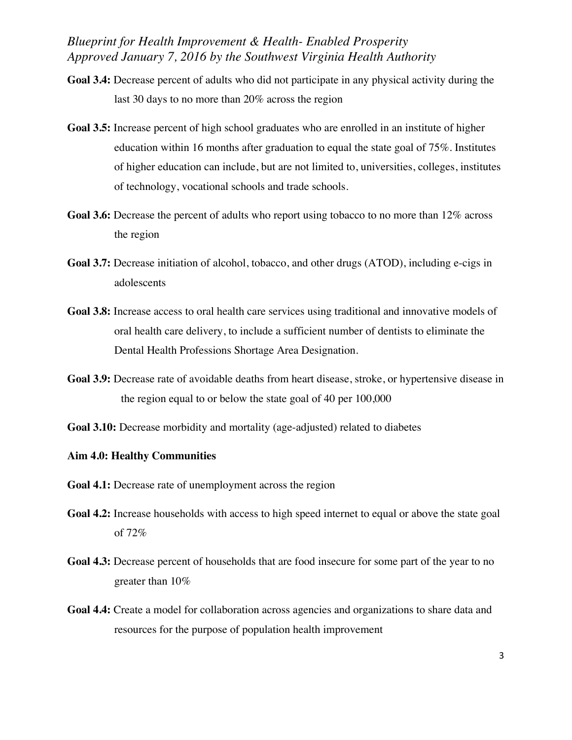- **Goal 3.4:** Decrease percent of adults who did not participate in any physical activity during the last 30 days to no more than 20% across the region
- **Goal 3.5:** Increase percent of high school graduates who are enrolled in an institute of higher education within 16 months after graduation to equal the state goal of 75%. Institutes of higher education can include, but are not limited to, universities, colleges, institutes of technology, vocational schools and trade schools.
- Goal 3.6: Decrease the percent of adults who report using tobacco to no more than 12% across the region
- **Goal 3.7:** Decrease initiation of alcohol, tobacco, and other drugs (ATOD), including e-cigs in adolescents
- **Goal 3.8:** Increase access to oral health care services using traditional and innovative models of oral health care delivery, to include a sufficient number of dentists to eliminate the Dental Health Professions Shortage Area Designation.
- **Goal 3.9:** Decrease rate of avoidable deaths from heart disease, stroke, or hypertensive disease in the region equal to or below the state goal of 40 per 100,000
- **Goal 3.10:** Decrease morbidity and mortality (age-adjusted) related to diabetes

## **Aim 4.0: Healthy Communities**

- **Goal 4.1:** Decrease rate of unemployment across the region
- **Goal 4.2:** Increase households with access to high speed internet to equal or above the state goal of 72%
- **Goal 4.3:** Decrease percent of households that are food insecure for some part of the year to no greater than 10%
- **Goal 4.4:** Create a model for collaboration across agencies and organizations to share data and resources for the purpose of population health improvement